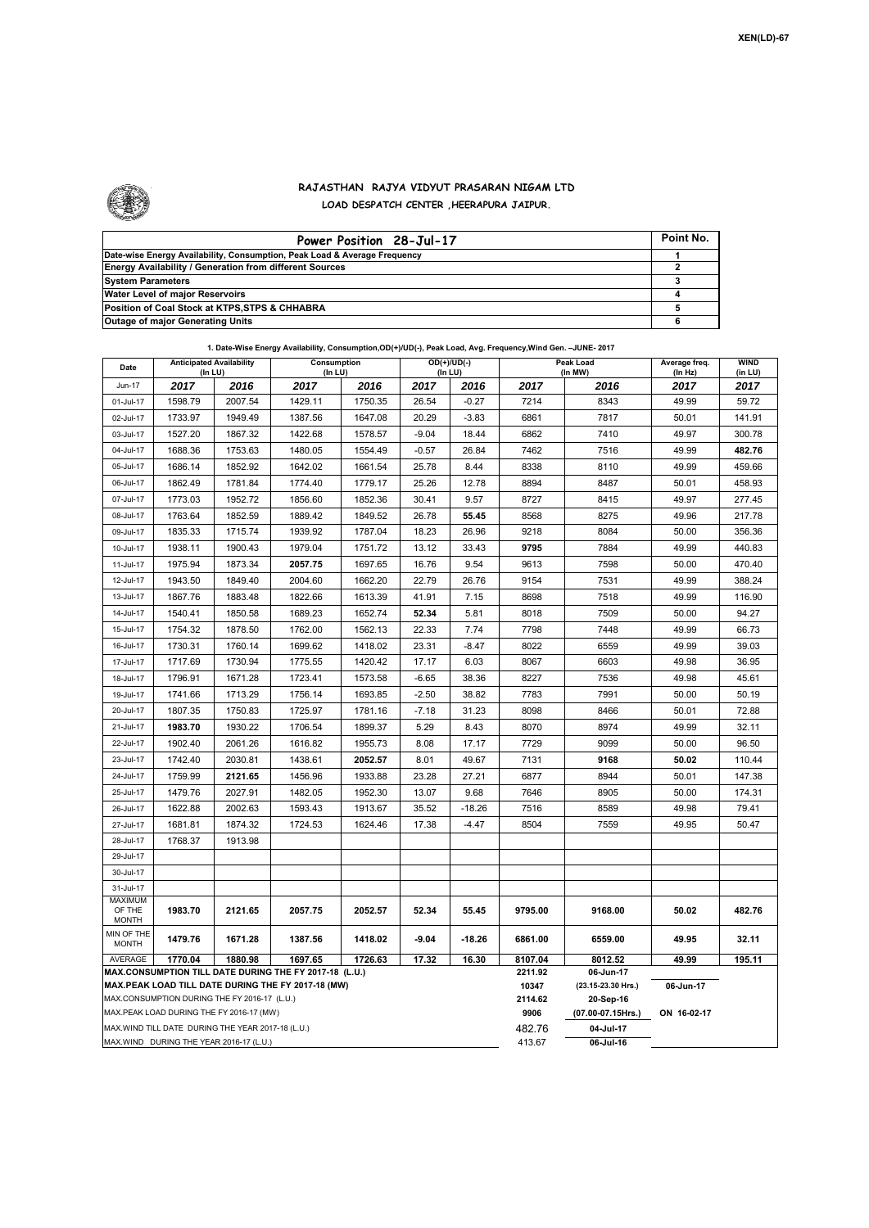

## **RAJASTHAN RAJYA VIDYUT PRASARAN NIGAM LTD LOAD DESPATCH CENTER ,HEERAPURA JAIPUR.**

| Power Position 28-Jul-17                                                  | Point No. |
|---------------------------------------------------------------------------|-----------|
| Date-wise Energy Availability, Consumption, Peak Load & Average Frequency |           |
| <b>Energy Availability / Generation from different Sources</b>            |           |
| <b>System Parameters</b>                                                  |           |
| Water Level of major Reservoirs                                           |           |
| Position of Coal Stock at KTPS, STPS & CHHABRA                            |           |
| <b>Outage of major Generating Units</b>                                   |           |

| 1. Date-Wise Energy Availability, Consumption, OD(+)/UD(-), Peak Load, Avg. Frequency, Wind Gen. -JUNE- 2017 |  |
|--------------------------------------------------------------------------------------------------------------|--|
|--------------------------------------------------------------------------------------------------------------|--|

| Date                                                                                           | <b>Anticipated Availability</b><br>(In LU)   |         | Consumption<br>(In LU)                                                                                       |         | OD(+)/UD(-)<br>(In LU) |          | Peak Load<br>(In MW) |                                 | Average freq.<br>(In Hz) | WIND<br>(in LU) |  |
|------------------------------------------------------------------------------------------------|----------------------------------------------|---------|--------------------------------------------------------------------------------------------------------------|---------|------------------------|----------|----------------------|---------------------------------|--------------------------|-----------------|--|
| <b>Jun-17</b>                                                                                  | 2017                                         | 2016    | 2017                                                                                                         | 2016    | 2017                   | 2016     | 2017                 | 2016                            | 2017                     | 2017            |  |
| 01-Jul-17                                                                                      | 1598.79                                      | 2007.54 | 1429.11                                                                                                      | 1750.35 | 26.54                  | $-0.27$  | 7214                 | 8343                            | 49.99                    | 59.72           |  |
| 02-Jul-17                                                                                      | 1733.97                                      | 1949.49 | 1387.56                                                                                                      | 1647.08 | 20.29                  | $-3.83$  | 6861                 | 7817                            | 50.01                    | 141.91          |  |
| 03-Jul-17                                                                                      | 1527.20                                      | 1867.32 | 1422.68                                                                                                      | 1578.57 | $-9.04$                | 18.44    | 6862                 | 7410                            | 49.97                    | 300.78          |  |
| 04-Jul-17                                                                                      | 1688.36                                      | 1753.63 | 1480.05                                                                                                      | 1554.49 | $-0.57$                | 26.84    | 7462                 | 7516                            | 49.99                    | 482.76          |  |
| 05-Jul-17                                                                                      | 1686.14                                      | 1852.92 | 1642.02                                                                                                      | 1661.54 | 25.78                  | 8.44     | 8338                 | 8110                            | 49.99                    | 459.66          |  |
| 06-Jul-17                                                                                      | 1862.49                                      | 1781.84 | 1774.40                                                                                                      | 1779.17 | 25.26                  | 12.78    | 8894                 | 8487                            | 50.01                    | 458.93          |  |
| 07-Jul-17                                                                                      | 1773.03                                      | 1952.72 | 1856.60                                                                                                      | 1852.36 | 30.41                  | 9.57     | 8727                 | 8415                            | 49.97                    | 277.45          |  |
| 08-Jul-17                                                                                      | 1763.64                                      | 1852.59 | 1889.42                                                                                                      | 1849.52 | 26.78                  | 55.45    | 8568                 | 8275                            | 49.96                    | 217.78          |  |
| 09-Jul-17                                                                                      | 1835.33                                      | 1715.74 | 1939.92                                                                                                      | 1787.04 | 18.23                  | 26.96    | 9218                 | 8084                            | 50.00                    | 356.36          |  |
| 10-Jul-17                                                                                      | 1938.11                                      | 1900.43 | 1979.04                                                                                                      | 1751.72 | 13.12                  | 33.43    | 9795                 | 7884                            | 49.99                    | 440.83          |  |
| 11-Jul-17                                                                                      | 1975.94                                      | 1873.34 | 2057.75                                                                                                      | 1697.65 | 16.76                  | 9.54     | 9613                 | 7598                            | 50.00                    | 470.40          |  |
| 12-Jul-17                                                                                      | 1943.50                                      | 1849.40 | 2004.60                                                                                                      | 1662.20 | 22.79                  | 26.76    | 9154                 | 7531                            | 49.99                    | 388.24          |  |
| 13-Jul-17                                                                                      | 1867.76                                      | 1883.48 | 1822.66                                                                                                      | 1613.39 | 41.91                  | 7.15     | 8698                 | 7518                            | 49.99                    | 116.90          |  |
| 14-Jul-17                                                                                      | 1540.41                                      | 1850.58 | 1689.23                                                                                                      | 1652.74 | 52.34                  | 5.81     | 8018                 | 7509                            | 50.00                    | 94.27           |  |
| 15-Jul-17                                                                                      | 1754.32                                      | 1878.50 | 1762.00                                                                                                      | 1562.13 | 22.33                  | 7.74     | 7798                 | 7448                            | 49.99                    | 66.73           |  |
| 16-Jul-17                                                                                      | 1730.31                                      | 1760.14 | 1699.62                                                                                                      | 1418.02 | 23.31                  | $-8.47$  | 8022                 | 6559                            | 49.99                    | 39.03           |  |
| 17-Jul-17                                                                                      | 1717.69                                      | 1730.94 | 1775.55                                                                                                      | 1420.42 | 17.17                  | 6.03     | 8067                 | 6603                            | 49.98                    | 36.95           |  |
| 18-Jul-17                                                                                      | 1796.91                                      | 1671.28 | 1723.41                                                                                                      | 1573.58 | $-6.65$                | 38.36    | 8227                 | 7536                            | 49.98                    | 45.61           |  |
| 19-Jul-17                                                                                      | 1741.66                                      | 1713.29 | 1756.14                                                                                                      | 1693.85 | $-2.50$                | 38.82    | 7783                 | 7991                            | 50.00                    | 50.19           |  |
| 20-Jul-17                                                                                      | 1807.35                                      | 1750.83 | 1725.97                                                                                                      | 1781.16 | $-7.18$                | 31.23    | 8098                 | 8466                            | 50.01                    | 72.88           |  |
| 21-Jul-17                                                                                      | 1983.70                                      | 1930.22 | 1706.54                                                                                                      | 1899.37 | 5.29                   | 8.43     | 8070                 | 8974                            | 49.99                    | 32.11           |  |
| 22-Jul-17                                                                                      | 1902.40                                      | 2061.26 | 1616.82                                                                                                      | 1955.73 | 8.08                   | 17.17    | 7729                 | 9099                            | 50.00                    | 96.50           |  |
| 23-Jul-17                                                                                      | 1742.40                                      | 2030.81 | 1438.61                                                                                                      | 2052.57 | 8.01                   | 49.67    | 7131                 | 9168                            | 50.02                    | 110.44          |  |
| 24-Jul-17                                                                                      | 1759.99                                      | 2121.65 | 1456.96                                                                                                      | 1933.88 | 23.28                  | 27.21    | 6877                 | 8944                            | 50.01                    | 147.38          |  |
| 25-Jul-17                                                                                      | 1479.76                                      | 2027.91 | 1482.05                                                                                                      | 1952.30 | 13.07                  | 9.68     | 7646                 | 8905                            | 50.00                    | 174.31          |  |
| 26-Jul-17                                                                                      | 1622.88                                      | 2002.63 | 1593.43                                                                                                      | 1913.67 | 35.52                  | $-18.26$ | 7516                 | 8589                            | 49.98                    | 79.41           |  |
| 27-Jul-17                                                                                      | 1681.81                                      | 1874.32 | 1724.53                                                                                                      | 1624.46 | 17.38                  | $-4.47$  | 8504                 | 7559                            | 49.95                    | 50.47           |  |
| 28-Jul-17                                                                                      | 1768.37                                      | 1913.98 |                                                                                                              |         |                        |          |                      |                                 |                          |                 |  |
| 29-Jul-17                                                                                      |                                              |         |                                                                                                              |         |                        |          |                      |                                 |                          |                 |  |
| 30-Jul-17                                                                                      |                                              |         |                                                                                                              |         |                        |          |                      |                                 |                          |                 |  |
| 31-Jul-17                                                                                      |                                              |         |                                                                                                              |         |                        |          |                      |                                 |                          |                 |  |
| <b>MAXIMUM</b><br>OF THE<br><b>MONTH</b>                                                       | 1983.70                                      | 2121.65 | 2057.75                                                                                                      | 2052.57 | 52.34                  | 55.45    | 9795.00              | 9168.00                         | 50.02                    | 482.76          |  |
| MIN OF THE                                                                                     |                                              |         |                                                                                                              |         |                        |          |                      |                                 |                          |                 |  |
| <b>MONTH</b>                                                                                   | 1479.76                                      | 1671.28 | 1387.56                                                                                                      | 1418.02 | $-9.04$                | $-18.26$ | 6861.00              | 6559.00                         | 49.95                    | 32.11           |  |
| <b>AVERAGE</b>                                                                                 | 1770.04                                      | 1880.98 | 1697.65                                                                                                      | 1726.63 | 17.32                  | 16.30    | 8107.04              | 8012.52                         | 49.99                    | 195.11          |  |
|                                                                                                |                                              |         | MAX.CONSUMPTION TILL DATE DURING THE FY 2017-18 (L.U.)<br>MAX.PEAK LOAD TILL DATE DURING THE FY 2017-18 (MW) |         |                        |          | 2211.92<br>10347     | 06-Jun-17<br>(23.15-23.30 Hrs.) | 06-Jun-17                |                 |  |
|                                                                                                | MAX.CONSUMPTION DURING THE FY 2016-17 (L.U.) |         |                                                                                                              |         |                        |          | 2114.62              | 20-Sep-16                       |                          |                 |  |
|                                                                                                |                                              |         |                                                                                                              |         |                        |          | 9906                 | (07.00-07.15Hrs.)               | ON 16-02-17              |                 |  |
| MAX.PEAK LOAD DURING THE FY 2016-17 (MW)<br>MAX. WIND TILL DATE DURING THE YEAR 2017-18 (L.U.) |                                              |         |                                                                                                              |         |                        | 482.76   | 04-Jul-17            |                                 |                          |                 |  |
|                                                                                                | MAX.WIND DURING THE YEAR 2016-17 (L.U.)      |         |                                                                                                              |         |                        |          | 413.67               | 06-Jul-16                       |                          |                 |  |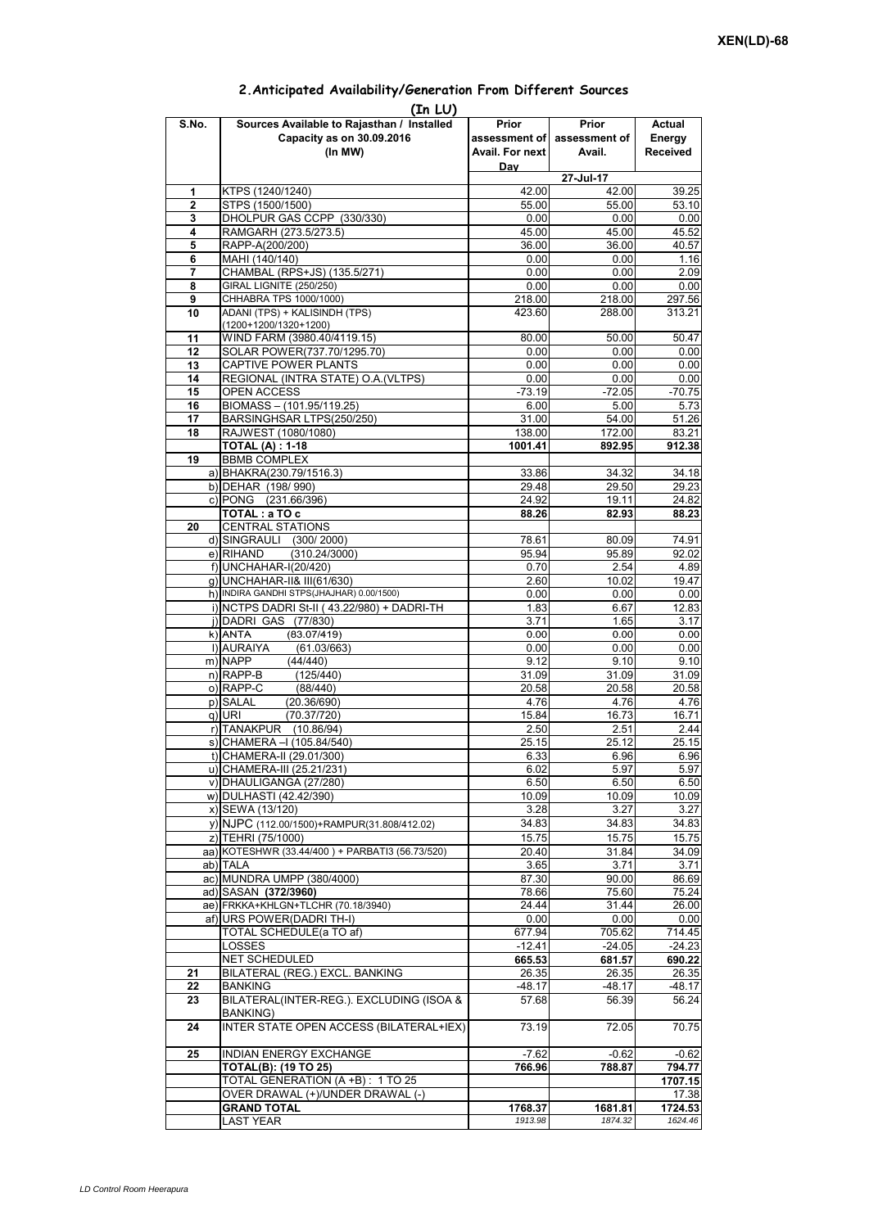|                | (In LU)                                             |                 |                             |                 |
|----------------|-----------------------------------------------------|-----------------|-----------------------------|-----------------|
| S.No.          | Sources Available to Rajasthan / Installed          | Prior           | Prior                       | Actual          |
|                | Capacity as on 30.09.2016                           |                 | assessment of assessment of | Energy          |
|                | (In MW)                                             | Avail. For next | Avail.                      | <b>Received</b> |
|                |                                                     | Day             |                             |                 |
|                |                                                     |                 | 27-Jul-17                   |                 |
| 1              | KTPS (1240/1240)                                    | 42.00           | 42.00                       | 39.25           |
| $\overline{2}$ | STPS (1500/1500)                                    | 55.00           | 55.00                       | 53.10           |
| 3              | DHOLPUR GAS CCPP (330/330)                          | 0.00            | 0.00                        | 0.00            |
| 4              | RAMGARH (273.5/273.5)                               | 45.00           | 45.00                       | 45.52           |
| 5              | RAPP-A(200/200)                                     | 36.00           | 36.00                       | 40.57           |
| 6              | MAHI (140/140)                                      | 0.00            | 0.00                        | 1.16            |
| 7              | CHAMBAL (RPS+JS) (135.5/271)                        | 0.00            | 0.00                        | 2.09            |
| 8              | <b>GIRAL LIGNITE (250/250)</b>                      | 0.00            | 0.00                        | 0.00            |
| 9              | CHHABRA TPS 1000/1000)                              | 218.00          | 218.00                      | 297.56          |
| 10             | ADANI (TPS) + KALISINDH (TPS)                       | 423.60          | 288.00                      | 313.21          |
|                | (1200+1200/1320+1200)                               |                 |                             |                 |
| 11             | WIND FARM (3980.40/4119.15)                         | 80.00           | 50.00                       | 50.47           |
| 12             | SOLAR POWER(737.70/1295.70)                         | 0.00            | 0.00                        | 0.00            |
| 13             | CAPTIVE POWER PLANTS                                | 0.00            | 0.00                        | 0.00            |
| 14             | REGIONAL (INTRA STATE) O.A. (VLTPS)                 | 0.00            | 0.00                        | 0.00            |
| 15             | <b>OPEN ACCESS</b>                                  | $-73.19$        | $-72.05$                    | $-70.75$        |
| 16             | BIOMASS - (101.95/119.25)                           | 6.00            | 5.00                        | 5.73            |
| 17             | BARSINGHSAR LTPS(250/250)                           | 31.00           | 54.00                       | 51.26           |
| 18             | RAJWEST (1080/1080)                                 | 138.00          | 172.00                      | 83.21           |
|                | <b>TOTAL (A): 1-18</b>                              | 1001.41         | 892.95                      | 912.38          |
| 19             | <b>BBMB COMPLEX</b>                                 |                 |                             |                 |
|                | a) BHAKRA(230.79/1516.3)                            | 33.86           | 34.32                       | 34.18           |
|                | b) DEHAR (198/990)                                  |                 |                             | 29.23           |
|                | c) PONG (231.66/396)                                | 29.48<br>24.92  | 29.50<br>19.11              |                 |
|                |                                                     |                 |                             | 24.82           |
|                | TOTAL: a TO c                                       | 88.26           | 82.93                       | 88.23           |
| 20             | <b>CENTRAL STATIONS</b>                             |                 |                             |                 |
|                | d) SINGRAULI (300/2000)                             | 78.61           | 80.09                       | 74.91           |
|                | e) RIHAND<br>(310.24/3000)                          | 95.94           | 95.89                       | 92.02           |
|                | f) UNCHAHAR-I(20/420)                               | 0.70            | 2.54                        | 4.89            |
|                | g) UNCHAHAR-II& III(61/630)                         | 2.60            | 10.02                       | 19.47           |
|                | h) INDIRA GANDHI STPS(JHAJHAR) 0.00/1500)           | 0.00            | 0.00                        | 0.00            |
|                | i) NCTPS DADRI St-II (43.22/980) + DADRI-TH         | 1.83            | 6.67                        | 12.83           |
|                | j) DADRI GAS (77/830)                               | 3.71            | 1.65                        | 3.17            |
|                | $k)$ ANTA<br>(83.07/419)                            | 0.00            | 0.00                        | 0.00            |
|                | I) AURAIYA<br>(61.03/663)                           | 0.00            | 0.00                        | 0.00            |
|                | m) NAPP<br>(44/440)                                 | 9.12            | 9.10                        | 9.10            |
|                | $n)$ RAPP-B<br>(125/440)                            | 31.09           | 31.09                       | 31.09           |
|                | o) RAPP-C<br>(88/440)                               | 20.58           | 20.58                       | 20.58           |
|                | p) SALAL<br>(20.36/690)                             | 4.76            | 4.76                        | 4.76            |
|                | q) URI<br>(70.37/720)                               | 15.84           | 16.73                       | 16.71           |
|                | r) TANAKPUR (10.86/94)                              | 2.50            | 2.51                        | 2.44            |
|                | s) CHAMERA - (105.84/540)                           | 25.15           | 25.12                       | 25.15           |
|                | t) CHAMERA-II (29.01/300)                           | 6.33            | 6.96                        | 6.96            |
|                | u) CHAMERA-III (25.21/231)                          | 6.02            | 5.97                        | 5.97            |
|                | v) DHAULIGANGA (27/280)                             | 6.50            | 6.50                        | 6.50            |
|                | w) DULHASTI (42.42/390)                             | 10.09           | 10.09                       | 10.09           |
|                | x) SEWA (13/120)                                    | 3.28            | 3.27                        | 3.27            |
|                | y) NJPC (112.00/1500) + RAMPUR(31.808/412.02)       | 34.83           | 34.83                       | 34.83           |
|                | z) TEHRI (75/1000)                                  | 15.75           | 15.75                       | 15.75           |
|                | aa) KOTESHWR (33.44/400) + PARBATI3 (56.73/520)     | 20.40           | 31.84                       | 34.09           |
|                |                                                     |                 |                             |                 |
|                | ab) TALA                                            | 3.65            | 3.71                        | 3.71            |
|                | ac) MUNDRA UMPP (380/4000)                          | 87.30           | 90.00                       | 86.69           |
|                | ad) SASAN (372/3960)                                | 78.66           | 75.60                       | 75.24           |
|                | ae) FRKKA+KHLGN+TLCHR (70.18/3940)                  | 24.44           | 31.44                       | 26.00           |
|                | af) URS POWER(DADRI TH-I)                           | 0.00            | 0.00                        | 0.00            |
|                | TOTAL SCHEDULE(a TO af)                             | 677.94          | 705.62                      | 714.45          |
|                | LOSSES                                              | $-12.41$        | $-24.05$                    | $-24.23$        |
|                | NET SCHEDULED                                       | 665.53          | 681.57                      | 690.22          |
| 21             | BILATERAL (REG.) EXCL. BANKING                      | 26.35           | 26.35                       | 26.35           |
| 22             | <b>BANKING</b>                                      | -48.17          | -48.17                      | -48.17          |
| 23             | BILATERAL(INTER-REG.). EXCLUDING (ISOA &            | 57.68           | 56.39                       | 56.24           |
| 24             | BANKING)<br>INTER STATE OPEN ACCESS (BILATERAL+IEX) | 73.19           | 72.05                       | 70.75           |
|                |                                                     |                 |                             |                 |
| 25             | INDIAN ENERGY EXCHANGE                              | $-7.62$         | $-0.62$                     | $-0.62$         |
|                | <b>TOTAL(B): (19 TO 25)</b>                         | 766.96          | 788.87                      | 794.77          |
|                | TOTAL GENERATION (A +B) : 1 TO 25                   |                 |                             | 1707.15         |
|                | OVER DRAWAL (+)/UNDER DRAWAL (-)                    |                 |                             | 17.38           |
|                | <b>GRAND TOTAL</b>                                  | 1768.37         | 1681.81                     | 1724.53         |
|                | <b>LAST YEAR</b>                                    | 1913.98         | 1874.32                     | 1624.46         |

## **2.Anticipated Availability/Generation From Different Sources**